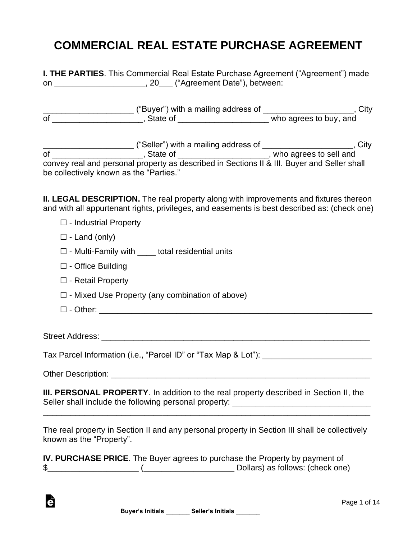## **COMMERCIAL REAL ESTATE PURCHASE AGREEMENT**

|    | <b>I. THE PARTIES.</b> This Commercial Real Estate Purchase Agreement ("Agreement") made |  |
|----|------------------------------------------------------------------------------------------|--|
| on | , 20 ("Agreement Date"), between:                                                        |  |

|    | ("Buyer") with a mailing address of | اٽٽ                    |
|----|-------------------------------------|------------------------|
| οf | State of                            | who agrees to buy, and |

\_\_\_\_\_\_\_\_\_\_\_\_\_\_\_\_\_\_\_\_ ("Seller") with a mailing address of \_\_\_\_\_\_\_\_\_\_\_\_\_\_\_\_\_\_\_\_, City of \_\_\_\_\_\_\_\_\_\_\_\_\_\_\_\_\_\_\_\_\_\_\_\_, State of \_\_\_\_\_\_\_\_\_\_\_\_\_\_\_\_\_\_\_\_\_\_\_\_, who agrees to sell and convey real and personal property as described in Sections II & III. Buyer and Seller shall be collectively known as the "Parties."

**II. LEGAL DESCRIPTION.** The real property along with improvements and fixtures thereon and with all appurtenant rights, privileges, and easements is best described as: (check one)

- ☐ Industrial Property
- $\Box$  Land (only)
- $\Box$  Multi-Family with total residential units
- ☐ Office Building
- ☐ Retail Property
- $\Box$  Mixed Use Property (any combination of above)
- ☐ Other: \_\_\_\_\_\_\_\_\_\_\_\_\_\_\_\_\_\_\_\_\_\_\_\_\_\_\_\_\_\_\_\_\_\_\_\_\_\_\_\_\_\_\_\_\_\_\_\_\_\_\_\_\_\_\_\_\_\_\_\_

Street Address: \_\_\_\_\_\_\_\_\_\_\_\_\_\_\_\_\_\_\_\_\_\_\_\_\_\_\_\_\_\_\_\_\_\_\_\_\_\_\_\_\_\_\_\_\_\_\_\_\_\_\_\_\_\_\_\_\_\_\_

Tax Parcel Information (i.e., "Parcel ID" or "Tax Map & Lot"): \_\_\_\_\_\_\_\_\_\_\_\_\_\_\_\_\_

Other Description: \_\_\_\_\_\_\_\_\_\_\_\_\_\_\_\_\_\_\_\_\_\_\_\_\_\_\_\_\_\_\_\_\_\_\_\_\_\_\_\_\_\_\_\_\_\_\_\_\_\_\_\_\_\_\_\_\_

è

**III. PERSONAL PROPERTY**. In addition to the real property described in Section II, the Seller shall include the following personal property: \_\_\_\_\_\_\_\_\_\_\_\_\_\_\_\_\_\_\_\_\_\_\_\_\_\_\_

\_\_\_\_\_\_\_\_\_\_\_\_\_\_\_\_\_\_\_\_\_\_\_\_\_\_\_\_\_\_\_\_\_\_\_\_\_\_\_\_\_\_\_\_\_\_\_\_\_\_\_\_\_\_\_\_\_\_\_\_\_\_\_\_\_\_\_\_\_\_\_

The real property in Section II and any personal property in Section III shall be collectively known as the "Property".

|   | <b>IV. PURCHASE PRICE.</b> The Buyer agrees to purchase the Property by payment of |
|---|------------------------------------------------------------------------------------|
| ъ | Dollars) as follows: (check one)                                                   |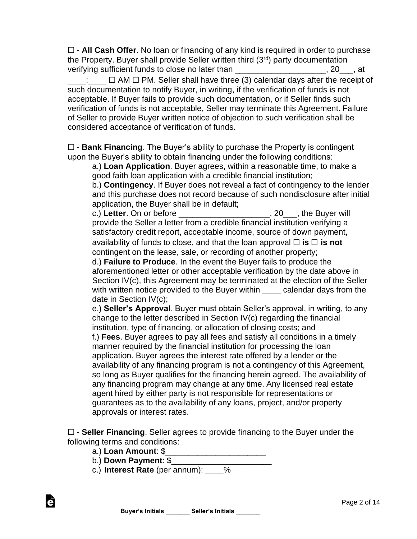☐ - **All Cash Offer**. No loan or financing of any kind is required in order to purchase the Property. Buyer shall provide Seller written third (3rd) party documentation verifying sufficient funds to close no later than \_\_\_\_\_\_\_\_\_\_\_\_\_\_\_\_\_\_\_\_\_, 20\_\_\_, at

 $\Box$  ∆ AM  $\Box$  PM. Seller shall have three (3) calendar days after the receipt of such documentation to notify Buyer, in writing, if the verification of funds is not acceptable. If Buyer fails to provide such documentation, or if Seller finds such verification of funds is not acceptable, Seller may terminate this Agreement. Failure of Seller to provide Buyer written notice of objection to such verification shall be considered acceptance of verification of funds.

☐ - **Bank Financing**. The Buyer's ability to purchase the Property is contingent upon the Buyer's ability to obtain financing under the following conditions:

a.) **Loan Application**. Buyer agrees, within a reasonable time, to make a good faith loan application with a credible financial institution;

b.) **Contingency**. If Buyer does not reveal a fact of contingency to the lender and this purchase does not record because of such nondisclosure after initial application, the Buyer shall be in default;

c.) **Letter**. On or before \_\_\_\_\_\_\_\_\_\_\_\_\_\_\_\_\_\_\_\_, 20\_\_\_, the Buyer will provide the Seller a letter from a credible financial institution verifying a satisfactory credit report, acceptable income, source of down payment, availability of funds to close, and that the loan approval  $\Box$  **is**  $\Box$  **is not** contingent on the lease, sale, or recording of another property;

d.) **Failure to Produce**. In the event the Buyer fails to produce the aforementioned letter or other acceptable verification by the date above in Section IV(c), this Agreement may be terminated at the election of the Seller with written notice provided to the Buyer within \_\_\_\_ calendar days from the date in Section IV(c);

e.) **Seller's Approval**. Buyer must obtain Seller's approval, in writing, to any change to the letter described in Section IV(c) regarding the financial institution, type of financing, or allocation of closing costs; and f.) **Fees**. Buyer agrees to pay all fees and satisfy all conditions in a timely manner required by the financial institution for processing the loan application. Buyer agrees the interest rate offered by a lender or the availability of any financing program is not a contingency of this Agreement, so long as Buyer qualifies for the financing herein agreed. The availability of any financing program may change at any time. Any licensed real estate agent hired by either party is not responsible for representations or guarantees as to the availability of any loans, project, and/or property approvals or interest rates.

☐ - **Seller Financing**. Seller agrees to provide financing to the Buyer under the following terms and conditions:

a.) **Loan Amount**: \$\_\_\_\_\_\_\_\_\_\_\_\_\_\_\_\_\_\_\_\_\_\_

è

- b.) **Down Payment**: \$\_\_\_\_\_\_\_\_\_\_\_\_\_\_\_\_\_\_\_\_\_\_
- c.) **Interest Rate** (per annum): \_\_\_\_%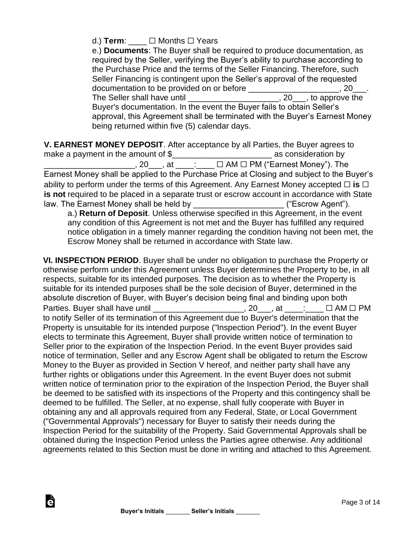d.) **Term**: \_\_\_\_ ☐ Months ☐ Years

e.) **Documents**: The Buyer shall be required to produce documentation, as required by the Seller, verifying the Buyer's ability to purchase according to the Purchase Price and the terms of the Seller Financing. Therefore, such Seller Financing is contingent upon the Seller's approval of the requested documentation to be provided on or before the same state of the set of the state of the state of the state of t The Seller shall have until \_\_\_\_\_\_\_\_\_\_\_\_\_\_\_\_\_\_\_\_\_\_, 20\_\_\_, to approve the Buyer's documentation. In the event the Buyer fails to obtain Seller's approval, this Agreement shall be terminated with the Buyer's Earnest Money being returned within five (5) calendar days.

**V. EARNEST MONEY DEPOSIT**. After acceptance by all Parties, the Buyer agrees to make a payment in the amount of \$\_\_\_\_\_\_\_\_\_\_\_\_\_\_\_\_\_\_\_\_\_\_\_\_\_\_\_\_\_\_\_ as consideration by \_\_\_\_\_\_\_\_\_\_\_\_\_\_\_\_\_\_\_\_, 20\_\_\_, at \_\_\_\_:\_\_\_\_ ☐ AM ☐ PM ("Earnest Money"). The Earnest Money shall be applied to the Purchase Price at Closing and subject to the Buyer's ability to perform under the terms of this Agreement. Any Earnest Money accepted □ **is** □ is not required to be placed in a separate trust or escrow account in accordance with State law. The Earnest Money shall be held by law. The Earnest Money shall be held by **Example 20** 

a.) **Return of Deposit**. Unless otherwise specified in this Agreement, in the event any condition of this Agreement is not met and the Buyer has fulfilled any required notice obligation in a timely manner regarding the condition having not been met, the Escrow Money shall be returned in accordance with State law.

**VI. INSPECTION PERIOD**. Buyer shall be under no obligation to purchase the Property or otherwise perform under this Agreement unless Buyer determines the Property to be, in all respects, suitable for its intended purposes. The decision as to whether the Property is suitable for its intended purposes shall be the sole decision of Buyer, determined in the absolute discretion of Buyer, with Buyer's decision being final and binding upon both Parties. Buyer shall have until \_\_\_\_\_\_\_\_\_\_\_\_\_\_\_\_\_\_\_\_\_, 20\_\_\_, at \_\_\_\_: \_\_\_ □ AM □ PM to notify Seller of its termination of this Agreement due to Buyer's determination that the Property is unsuitable for its intended purpose ("Inspection Period"). In the event Buyer elects to terminate this Agreement, Buyer shall provide written notice of termination to Seller prior to the expiration of the Inspection Period. In the event Buyer provides said notice of termination, Seller and any Escrow Agent shall be obligated to return the Escrow Money to the Buyer as provided in Section V hereof, and neither party shall have any further rights or obligations under this Agreement. In the event Buyer does not submit written notice of termination prior to the expiration of the Inspection Period, the Buyer shall be deemed to be satisfied with its inspections of the Property and this contingency shall be deemed to be fulfilled. The Seller, at no expense, shall fully cooperate with Buyer in obtaining any and all approvals required from any Federal, State, or Local Government ("Governmental Approvals") necessary for Buyer to satisfy their needs during the Inspection Period for the suitability of the Property. Said Governmental Approvals shall be obtained during the Inspection Period unless the Parties agree otherwise. Any additional agreements related to this Section must be done in writing and attached to this Agreement.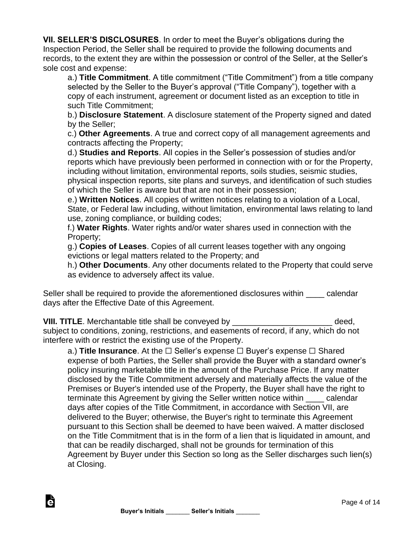**VII. SELLER'S DISCLOSURES**. In order to meet the Buyer's obligations during the Inspection Period, the Seller shall be required to provide the following documents and records, to the extent they are within the possession or control of the Seller, at the Seller's sole cost and expense:

a.) **Title Commitment**. A title commitment ("Title Commitment") from a title company selected by the Seller to the Buyer's approval ("Title Company"), together with a copy of each instrument, agreement or document listed as an exception to title in such Title Commitment;

b.) **Disclosure Statement**. A disclosure statement of the Property signed and dated by the Seller;

c.) **Other Agreements**. A true and correct copy of all management agreements and contracts affecting the Property;

d.) **Studies and Reports**. All copies in the Seller's possession of studies and/or reports which have previously been performed in connection with or for the Property, including without limitation, environmental reports, soils studies, seismic studies, physical inspection reports, site plans and surveys, and identification of such studies of which the Seller is aware but that are not in their possession;

e.) **Written Notices**. All copies of written notices relating to a violation of a Local, State, or Federal law including, without limitation, environmental laws relating to land use, zoning compliance, or building codes;

f.) **Water Rights**. Water rights and/or water shares used in connection with the Property;

g.) **Copies of Leases**. Copies of all current leases together with any ongoing evictions or legal matters related to the Property; and

h.) **Other Documents**. Any other documents related to the Property that could serve as evidence to adversely affect its value.

Seller shall be required to provide the aforementioned disclosures within ealendar days after the Effective Date of this Agreement.

**VIII. TITLE**. Merchantable title shall be conveyed by \_\_\_\_\_\_\_\_\_\_\_\_\_\_\_\_\_\_\_\_\_\_ deed, subject to conditions, zoning, restrictions, and easements of record, if any, which do not interfere with or restrict the existing use of the Property.

a.) **Title Insurance**. At the ☐ Seller's expense ☐ Buyer's expense ☐ Shared expense of both Parties, the Seller shall provide the Buyer with a standard owner's policy insuring marketable title in the amount of the Purchase Price. If any matter disclosed by the Title Commitment adversely and materially affects the value of the Premises or Buyer's intended use of the Property, the Buyer shall have the right to terminate this Agreement by giving the Seller written notice within \_\_\_\_ calendar days after copies of the Title Commitment, in accordance with Section VII, are delivered to the Buyer; otherwise, the Buyer's right to terminate this Agreement pursuant to this Section shall be deemed to have been waived. A matter disclosed on the Title Commitment that is in the form of a lien that is liquidated in amount, and that can be readily discharged, shall not be grounds for termination of this Agreement by Buyer under this Section so long as the Seller discharges such lien(s) at Closing.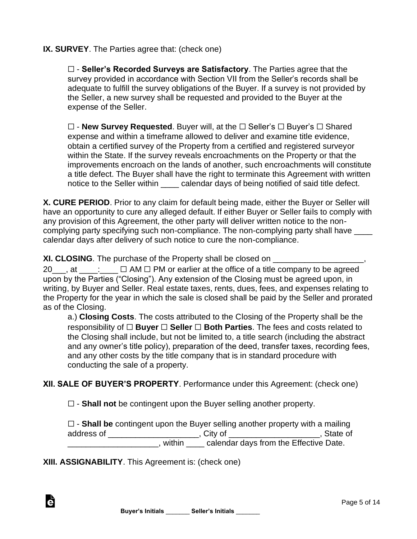## **IX. SURVEY**. The Parties agree that: (check one)

☐ - **Seller's Recorded Surveys are Satisfactory**. The Parties agree that the survey provided in accordance with Section VII from the Seller's records shall be adequate to fulfill the survey obligations of the Buyer. If a survey is not provided by the Seller, a new survey shall be requested and provided to the Buyer at the expense of the Seller.

☐ - **New Survey Requested**. Buyer will, at the ☐ Seller's ☐ Buyer's ☐ Shared expense and within a timeframe allowed to deliver and examine title evidence, obtain a certified survey of the Property from a certified and registered surveyor within the State. If the survey reveals encroachments on the Property or that the improvements encroach on the lands of another, such encroachments will constitute a title defect. The Buyer shall have the right to terminate this Agreement with written notice to the Seller within calendar days of being notified of said title defect.

**X. CURE PERIOD**. Prior to any claim for default being made, either the Buyer or Seller will have an opportunity to cure any alleged default. If either Buyer or Seller fails to comply with any provision of this Agreement, the other party will deliver written notice to the noncomplying party specifying such non-compliance. The non-complying party shall have \_\_\_\_ calendar days after delivery of such notice to cure the non-compliance.

**XI. CLOSING**. The purchase of the Property shall be closed on

20  $\ldots$  at  $\ldots$   $\Box$  AM  $\Box$  PM or earlier at the office of a title company to be agreed upon by the Parties ("Closing"). Any extension of the Closing must be agreed upon, in writing, by Buyer and Seller. Real estate taxes, rents, dues, fees, and expenses relating to the Property for the year in which the sale is closed shall be paid by the Seller and prorated as of the Closing.

a.) **Closing Costs**. The costs attributed to the Closing of the Property shall be the responsibility of ☐ **Buyer** ☐ **Seller** ☐ **Both Parties**. The fees and costs related to the Closing shall include, but not be limited to, a title search (including the abstract and any owner's title policy), preparation of the deed, transfer taxes, recording fees, and any other costs by the title company that is in standard procedure with conducting the sale of a property.

**XII. SALE OF BUYER'S PROPERTY**. Performance under this Agreement: (check one)

☐ - **Shall not** be contingent upon the Buyer selling another property.

|            | $\square$ - Shall be contingent upon the Buyer selling another property with a mailing |            |
|------------|----------------------------------------------------------------------------------------|------------|
| address of | . Citv of                                                                              | . State of |
|            | calendar days from the Effective Date.<br>within                                       |            |

**XIII. ASSIGNABILITY**. This Agreement is: (check one)

à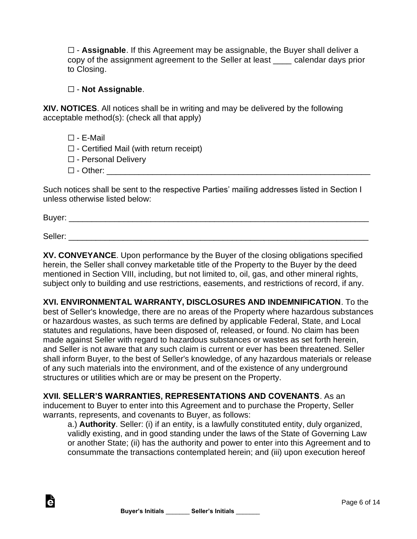☐ - **Assignable**. If this Agreement may be assignable, the Buyer shall deliver a copy of the assignment agreement to the Seller at least \_\_\_\_ calendar days prior to Closing.

## ☐ - **Not Assignable**.

**XIV. NOTICES**. All notices shall be in writing and may be delivered by the following acceptable method(s): (check all that apply)

- $\Box$  F-Mail
- $\Box$  Certified Mail (with return receipt)
- ☐ Personal Delivery
- ☐ Other: \_\_\_\_\_\_\_\_\_\_\_\_\_\_\_\_\_\_\_\_\_\_\_\_\_\_\_\_\_\_\_\_\_\_\_\_\_\_\_\_\_\_\_\_\_\_\_\_\_\_\_\_\_\_\_\_\_\_

Such notices shall be sent to the respective Parties' mailing addresses listed in Section I unless otherwise listed below:

Buyer: \_\_\_\_\_\_\_\_\_\_\_\_\_\_\_\_\_\_\_\_\_\_\_\_\_\_\_\_\_\_\_\_\_\_\_\_\_\_\_\_\_\_\_\_\_\_\_\_\_\_\_\_\_\_\_\_\_\_\_\_\_\_\_\_\_\_

Seller: \_\_\_\_\_\_\_\_\_\_\_\_\_\_\_\_\_\_\_\_\_\_\_\_\_\_\_\_\_\_\_\_\_\_\_\_\_\_\_\_\_\_\_\_\_\_\_\_\_\_\_\_\_\_\_\_\_\_\_\_\_\_\_\_\_\_

è

**XV. CONVEYANCE**. Upon performance by the Buyer of the closing obligations specified herein, the Seller shall convey marketable title of the Property to the Buyer by the deed mentioned in Section VIII, including, but not limited to, oil, gas, and other mineral rights, subject only to building and use restrictions, easements, and restrictions of record, if any.

**XVI. ENVIRONMENTAL WARRANTY, DISCLOSURES AND INDEMNIFICATION**. To the best of Seller's knowledge, there are no areas of the Property where hazardous substances or hazardous wastes, as such terms are defined by applicable Federal, State, and Local statutes and regulations, have been disposed of, released, or found. No claim has been made against Seller with regard to hazardous substances or wastes as set forth herein, and Seller is not aware that any such claim is current or ever has been threatened. Seller shall inform Buyer, to the best of Seller's knowledge, of any hazardous materials or release of any such materials into the environment, and of the existence of any underground structures or utilities which are or may be present on the Property.

**XVII. SELLER'S WARRANTIES, REPRESENTATIONS AND COVENANTS**. As an inducement to Buyer to enter into this Agreement and to purchase the Property, Seller warrants, represents, and covenants to Buyer, as follows:

a.) **Authority**. Seller: (i) if an entity, is a lawfully constituted entity, duly organized, validly existing, and in good standing under the laws of the State of Governing Law or another State; (ii) has the authority and power to enter into this Agreement and to consummate the transactions contemplated herein; and (iii) upon execution hereof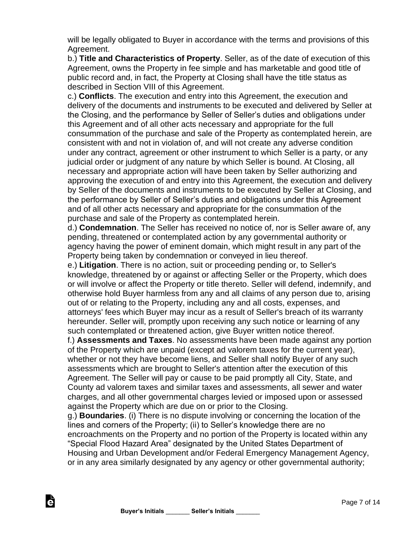will be legally obligated to Buyer in accordance with the terms and provisions of this Agreement.

b.) **Title and Characteristics of Property**. Seller, as of the date of execution of this Agreement, owns the Property in fee simple and has marketable and good title of public record and, in fact, the Property at Closing shall have the title status as described in Section VIII of this Agreement.

c.) **Conflicts**. The execution and entry into this Agreement, the execution and delivery of the documents and instruments to be executed and delivered by Seller at the Closing, and the performance by Seller of Seller's duties and obligations under this Agreement and of all other acts necessary and appropriate for the full consummation of the purchase and sale of the Property as contemplated herein, are consistent with and not in violation of, and will not create any adverse condition under any contract, agreement or other instrument to which Seller is a party, or any judicial order or judgment of any nature by which Seller is bound. At Closing, all necessary and appropriate action will have been taken by Seller authorizing and approving the execution of and entry into this Agreement, the execution and delivery by Seller of the documents and instruments to be executed by Seller at Closing, and the performance by Seller of Seller's duties and obligations under this Agreement and of all other acts necessary and appropriate for the consummation of the purchase and sale of the Property as contemplated herein.

d.) **Condemnation**. The Seller has received no notice of, nor is Seller aware of, any pending, threatened or contemplated action by any governmental authority or agency having the power of eminent domain, which might result in any part of the Property being taken by condemnation or conveyed in lieu thereof.

e.) **Litigation**. There is no action, suit or proceeding pending or, to Seller's knowledge, threatened by or against or affecting Seller or the Property, which does or will involve or affect the Property or title thereto. Seller will defend, indemnify, and otherwise hold Buyer harmless from any and all claims of any person due to, arising out of or relating to the Property, including any and all costs, expenses, and attorneys' fees which Buyer may incur as a result of Seller's breach of its warranty hereunder. Seller will, promptly upon receiving any such notice or learning of any such contemplated or threatened action, give Buyer written notice thereof.

f.) **Assessments and Taxes**. No assessments have been made against any portion of the Property which are unpaid (except ad valorem taxes for the current year), whether or not they have become liens, and Seller shall notify Buyer of any such assessments which are brought to Seller's attention after the execution of this Agreement. The Seller will pay or cause to be paid promptly all City, State, and County ad valorem taxes and similar taxes and assessments, all sewer and water charges, and all other governmental charges levied or imposed upon or assessed against the Property which are due on or prior to the Closing.

g.) **Boundaries**. (i) There is no dispute involving or concerning the location of the lines and corners of the Property; (ii) to Seller's knowledge there are no encroachments on the Property and no portion of the Property is located within any "Special Flood Hazard Area" designated by the United States Department of Housing and Urban Development and/or Federal Emergency Management Agency, or in any area similarly designated by any agency or other governmental authority;

è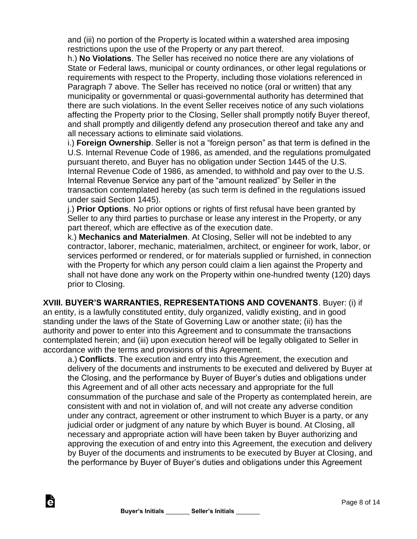and (iii) no portion of the Property is located within a watershed area imposing restrictions upon the use of the Property or any part thereof.

h.) **No Violations**. The Seller has received no notice there are any violations of State or Federal laws, municipal or county ordinances, or other legal regulations or requirements with respect to the Property, including those violations referenced in Paragraph 7 above. The Seller has received no notice (oral or written) that any municipality or governmental or quasi-governmental authority has determined that there are such violations. In the event Seller receives notice of any such violations affecting the Property prior to the Closing, Seller shall promptly notify Buyer thereof, and shall promptly and diligently defend any prosecution thereof and take any and all necessary actions to eliminate said violations.

i.) **Foreign Ownership**. Seller is not a "foreign person" as that term is defined in the U.S. Internal Revenue Code of 1986, as amended, and the regulations promulgated pursuant thereto, and Buyer has no obligation under Section 1445 of the U.S. Internal Revenue Code of 1986, as amended, to withhold and pay over to the U.S. Internal Revenue Service any part of the "amount realized" by Seller in the transaction contemplated hereby (as such term is defined in the regulations issued under said Section 1445).

j.) **Prior Options**. No prior options or rights of first refusal have been granted by Seller to any third parties to purchase or lease any interest in the Property, or any part thereof, which are effective as of the execution date.

k.) **Mechanics and Materialmen**. At Closing, Seller will not be indebted to any contractor, laborer, mechanic, materialmen, architect, or engineer for work, labor, or services performed or rendered, or for materials supplied or furnished, in connection with the Property for which any person could claim a lien against the Property and shall not have done any work on the Property within one-hundred twenty (120) days prior to Closing.

**XVIII. BUYER'S WARRANTIES, REPRESENTATIONS AND COVENANTS**. Buyer: (i) if

an entity, is a lawfully constituted entity, duly organized, validly existing, and in good standing under the laws of the State of Governing Law or another state; (ii) has the authority and power to enter into this Agreement and to consummate the transactions contemplated herein; and (iii) upon execution hereof will be legally obligated to Seller in accordance with the terms and provisions of this Agreement.

a.) **Conflicts**. The execution and entry into this Agreement, the execution and delivery of the documents and instruments to be executed and delivered by Buyer at the Closing, and the performance by Buyer of Buyer's duties and obligations under this Agreement and of all other acts necessary and appropriate for the full consummation of the purchase and sale of the Property as contemplated herein, are consistent with and not in violation of, and will not create any adverse condition under any contract, agreement or other instrument to which Buyer is a party, or any judicial order or judgment of any nature by which Buyer is bound. At Closing, all necessary and appropriate action will have been taken by Buyer authorizing and approving the execution of and entry into this Agreement, the execution and delivery by Buyer of the documents and instruments to be executed by Buyer at Closing, and the performance by Buyer of Buyer's duties and obligations under this Agreement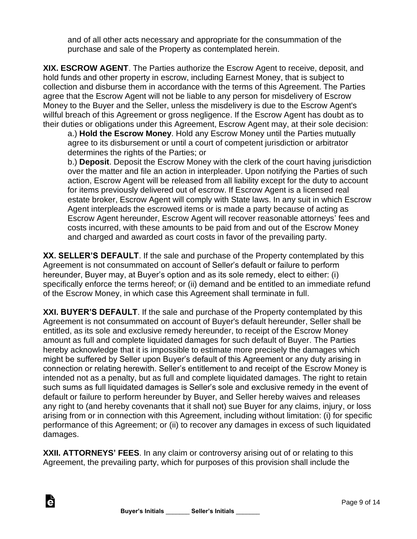and of all other acts necessary and appropriate for the consummation of the purchase and sale of the Property as contemplated herein.

**XIX. ESCROW AGENT**. The Parties authorize the Escrow Agent to receive, deposit, and hold funds and other property in escrow, including Earnest Money, that is subject to collection and disburse them in accordance with the terms of this Agreement. The Parties agree that the Escrow Agent will not be liable to any person for misdelivery of Escrow Money to the Buyer and the Seller, unless the misdelivery is due to the Escrow Agent's willful breach of this Agreement or gross negligence. If the Escrow Agent has doubt as to their duties or obligations under this Agreement, Escrow Agent may, at their sole decision:

a.) **Hold the Escrow Money**. Hold any Escrow Money until the Parties mutually agree to its disbursement or until a court of competent jurisdiction or arbitrator determines the rights of the Parties; or

b.) **Deposit**. Deposit the Escrow Money with the clerk of the court having jurisdiction over the matter and file an action in interpleader. Upon notifying the Parties of such action, Escrow Agent will be released from all liability except for the duty to account for items previously delivered out of escrow. If Escrow Agent is a licensed real estate broker, Escrow Agent will comply with State laws. In any suit in which Escrow Agent interpleads the escrowed items or is made a party because of acting as Escrow Agent hereunder, Escrow Agent will recover reasonable attorneys' fees and costs incurred, with these amounts to be paid from and out of the Escrow Money and charged and awarded as court costs in favor of the prevailing party.

**XX. SELLER'S DEFAULT**. If the sale and purchase of the Property contemplated by this Agreement is not consummated on account of Seller's default or failure to perform hereunder, Buyer may, at Buyer's option and as its sole remedy, elect to either: (i) specifically enforce the terms hereof; or (ii) demand and be entitled to an immediate refund of the Escrow Money, in which case this Agreement shall terminate in full.

**XXI. BUYER'S DEFAULT**. If the sale and purchase of the Property contemplated by this Agreement is not consummated on account of Buyer's default hereunder, Seller shall be entitled, as its sole and exclusive remedy hereunder, to receipt of the Escrow Money amount as full and complete liquidated damages for such default of Buyer. The Parties hereby acknowledge that it is impossible to estimate more precisely the damages which might be suffered by Seller upon Buyer's default of this Agreement or any duty arising in connection or relating herewith. Seller's entitlement to and receipt of the Escrow Money is intended not as a penalty, but as full and complete liquidated damages. The right to retain such sums as full liquidated damages is Seller's sole and exclusive remedy in the event of default or failure to perform hereunder by Buyer, and Seller hereby waives and releases any right to (and hereby covenants that it shall not) sue Buyer for any claims, injury, or loss arising from or in connection with this Agreement, including without limitation: (i) for specific performance of this Agreement; or (ii) to recover any damages in excess of such liquidated damages.

**XXII. ATTORNEYS' FEES**. In any claim or controversy arising out of or relating to this Agreement, the prevailing party, which for purposes of this provision shall include the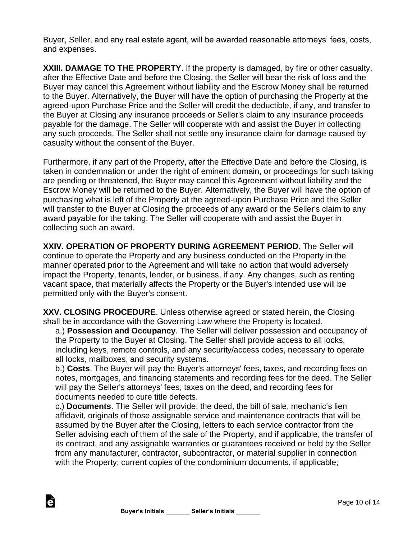Buyer, Seller, and any real estate agent, will be awarded reasonable attorneys' fees, costs, and expenses.

**XXIII. DAMAGE TO THE PROPERTY**. If the property is damaged, by fire or other casualty, after the Effective Date and before the Closing, the Seller will bear the risk of loss and the Buyer may cancel this Agreement without liability and the Escrow Money shall be returned to the Buyer. Alternatively, the Buyer will have the option of purchasing the Property at the agreed-upon Purchase Price and the Seller will credit the deductible, if any, and transfer to the Buyer at Closing any insurance proceeds or Seller's claim to any insurance proceeds payable for the damage. The Seller will cooperate with and assist the Buyer in collecting any such proceeds. The Seller shall not settle any insurance claim for damage caused by casualty without the consent of the Buyer.

Furthermore, if any part of the Property, after the Effective Date and before the Closing, is taken in condemnation or under the right of eminent domain, or proceedings for such taking are pending or threatened, the Buyer may cancel this Agreement without liability and the Escrow Money will be returned to the Buyer. Alternatively, the Buyer will have the option of purchasing what is left of the Property at the agreed-upon Purchase Price and the Seller will transfer to the Buyer at Closing the proceeds of any award or the Seller's claim to any award payable for the taking. The Seller will cooperate with and assist the Buyer in collecting such an award.

**XXIV. OPERATION OF PROPERTY DURING AGREEMENT PERIOD**. The Seller will continue to operate the Property and any business conducted on the Property in the manner operated prior to the Agreement and will take no action that would adversely impact the Property, tenants, lender, or business, if any. Any changes, such as renting vacant space, that materially affects the Property or the Buyer's intended use will be permitted only with the Buyer's consent.

**XXV. CLOSING PROCEDURE**. Unless otherwise agreed or stated herein, the Closing shall be in accordance with the Governing Law where the Property is located.

a.) **Possession and Occupancy**. The Seller will deliver possession and occupancy of the Property to the Buyer at Closing. The Seller shall provide access to all locks, including keys, remote controls, and any security/access codes, necessary to operate all locks, mailboxes, and security systems.

b.) **Costs**. The Buyer will pay the Buyer's attorneys' fees, taxes, and recording fees on notes, mortgages, and financing statements and recording fees for the deed. The Seller will pay the Seller's attorneys' fees, taxes on the deed, and recording fees for documents needed to cure title defects.

c.) **Documents**. The Seller will provide: the deed, the bill of sale, mechanic's lien affidavit, originals of those assignable service and maintenance contracts that will be assumed by the Buyer after the Closing, letters to each service contractor from the Seller advising each of them of the sale of the Property, and if applicable, the transfer of its contract, and any assignable warranties or guarantees received or held by the Seller from any manufacturer, contractor, subcontractor, or material supplier in connection with the Property; current copies of the condominium documents, if applicable;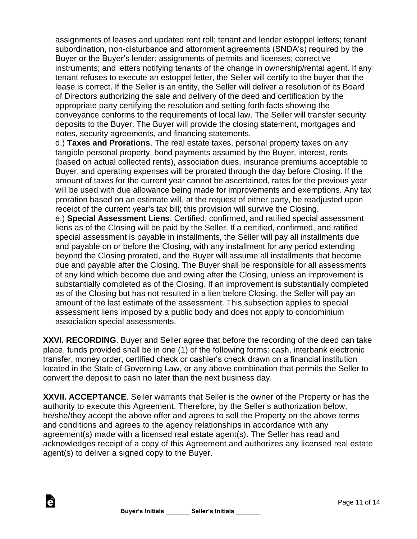assignments of leases and updated rent roll; tenant and lender estoppel letters; tenant subordination, non-disturbance and attornment agreements (SNDA's) required by the Buyer or the Buyer's lender; assignments of permits and licenses; corrective instruments; and letters notifying tenants of the change in ownership/rental agent. If any tenant refuses to execute an estoppel letter, the Seller will certify to the buyer that the lease is correct. If the Seller is an entity, the Seller will deliver a resolution of its Board of Directors authorizing the sale and delivery of the deed and certification by the appropriate party certifying the resolution and setting forth facts showing the conveyance conforms to the requirements of local law. The Seller will transfer security deposits to the Buyer. The Buyer will provide the closing statement, mortgages and notes, security agreements, and financing statements.

d.) **Taxes and Prorations**. The real estate taxes, personal property taxes on any tangible personal property, bond payments assumed by the Buyer, interest, rents (based on actual collected rents), association dues, insurance premiums acceptable to Buyer, and operating expenses will be prorated through the day before Closing. If the amount of taxes for the current year cannot be ascertained, rates for the previous year will be used with due allowance being made for improvements and exemptions. Any tax proration based on an estimate will, at the request of either party, be readjusted upon receipt of the current year's tax bill; this provision will survive the Closing.

e.) **Special Assessment Liens**. Certified, confirmed, and ratified special assessment liens as of the Closing will be paid by the Seller. If a certified, confirmed, and ratified special assessment is payable in installments, the Seller will pay all installments due and payable on or before the Closing, with any installment for any period extending beyond the Closing prorated, and the Buyer will assume all installments that become due and payable after the Closing. The Buyer shall be responsible for all assessments of any kind which become due and owing after the Closing, unless an improvement is substantially completed as of the Closing. If an improvement is substantially completed as of the Closing but has not resulted in a lien before Closing, the Seller will pay an amount of the last estimate of the assessment. This subsection applies to special assessment liens imposed by a public body and does not apply to condominium association special assessments.

**XXVI. RECORDING**. Buyer and Seller agree that before the recording of the deed can take place, funds provided shall be in one (1) of the following forms: cash, interbank electronic transfer, money order, certified check or cashier's check drawn on a financial institution located in the State of Governing Law, or any above combination that permits the Seller to convert the deposit to cash no later than the next business day.

**XXVII. ACCEPTANCE**. Seller warrants that Seller is the owner of the Property or has the authority to execute this Agreement. Therefore, by the Seller's authorization below, he/she/they accept the above offer and agrees to sell the Property on the above terms and conditions and agrees to the agency relationships in accordance with any agreement(s) made with a licensed real estate agent(s). The Seller has read and acknowledges receipt of a copy of this Agreement and authorizes any licensed real estate agent(s) to deliver a signed copy to the Buyer.

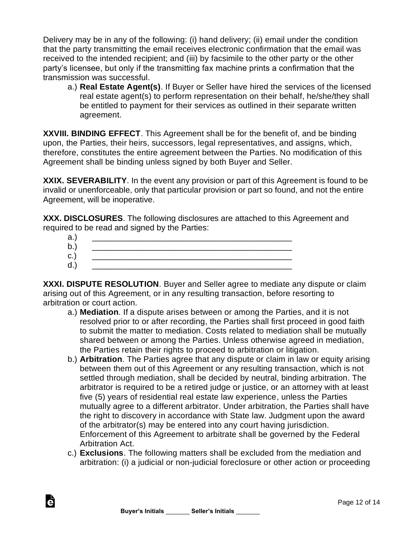Delivery may be in any of the following: (i) hand delivery; (ii) email under the condition that the party transmitting the email receives electronic confirmation that the email was received to the intended recipient; and (iii) by facsimile to the other party or the other party's licensee, but only if the transmitting fax machine prints a confirmation that the transmission was successful.

a.) **Real Estate Agent(s)**. If Buyer or Seller have hired the services of the licensed real estate agent(s) to perform representation on their behalf, he/she/they shall be entitled to payment for their services as outlined in their separate written agreement.

**XXVIII. BINDING EFFECT**. This Agreement shall be for the benefit of, and be binding upon, the Parties, their heirs, successors, legal representatives, and assigns, which, therefore, constitutes the entire agreement between the Parties. No modification of this Agreement shall be binding unless signed by both Buyer and Seller.

**XXIX. SEVERABILITY**. In the event any provision or part of this Agreement is found to be invalid or unenforceable, only that particular provision or part so found, and not the entire Agreement, will be inoperative.

**XXX. DISCLOSURES**. The following disclosures are attached to this Agreement and required to be read and signed by the Parties:

**XXXI. DISPUTE RESOLUTION**. Buyer and Seller agree to mediate any dispute or claim arising out of this Agreement, or in any resulting transaction, before resorting to arbitration or court action.

- a.) **Mediation**. If a dispute arises between or among the Parties, and it is not resolved prior to or after recording, the Parties shall first proceed in good faith to submit the matter to mediation. Costs related to mediation shall be mutually shared between or among the Parties. Unless otherwise agreed in mediation, the Parties retain their rights to proceed to arbitration or litigation.
- b.) **Arbitration**. The Parties agree that any dispute or claim in law or equity arising between them out of this Agreement or any resulting transaction, which is not settled through mediation, shall be decided by neutral, binding arbitration. The arbitrator is required to be a retired judge or justice, or an attorney with at least five (5) years of residential real estate law experience, unless the Parties mutually agree to a different arbitrator. Under arbitration, the Parties shall have the right to discovery in accordance with State law. Judgment upon the award of the arbitrator(s) may be entered into any court having jurisdiction. Enforcement of this Agreement to arbitrate shall be governed by the Federal Arbitration Act.
- c.) **Exclusions**. The following matters shall be excluded from the mediation and arbitration: (i) a judicial or non-judicial foreclosure or other action or proceeding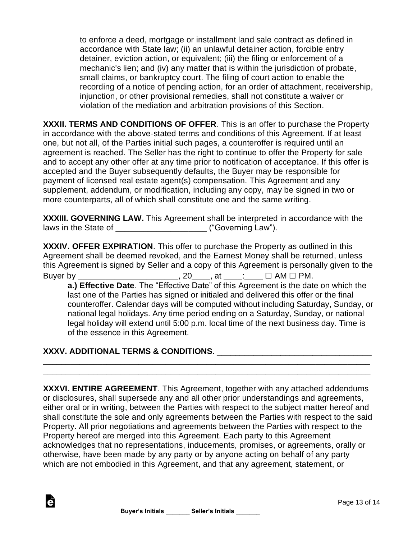to enforce a deed, mortgage or installment land sale contract as defined in accordance with State law; (ii) an unlawful detainer action, forcible entry detainer, eviction action, or equivalent; (iii) the filing or enforcement of a mechanic's lien; and (iv) any matter that is within the jurisdiction of probate, small claims, or bankruptcy court. The filing of court action to enable the recording of a notice of pending action, for an order of attachment, receivership, injunction, or other provisional remedies, shall not constitute a waiver or violation of the mediation and arbitration provisions of this Section.

**XXXII. TERMS AND CONDITIONS OF OFFER**. This is an offer to purchase the Property in accordance with the above-stated terms and conditions of this Agreement. If at least one, but not all, of the Parties initial such pages, a counteroffer is required until an agreement is reached. The Seller has the right to continue to offer the Property for sale and to accept any other offer at any time prior to notification of acceptance. If this offer is accepted and the Buyer subsequently defaults, the Buyer may be responsible for payment of licensed real estate agent(s) compensation. This Agreement and any supplement, addendum, or modification, including any copy, may be signed in two or more counterparts, all of which shall constitute one and the same writing.

**XXXIII. GOVERNING LAW.** This Agreement shall be interpreted in accordance with the laws in the State of \_\_\_\_\_\_\_\_\_\_\_\_\_\_\_\_\_\_\_\_ ("Governing Law").

**XXXIV. OFFER EXPIRATION**. This offer to purchase the Property as outlined in this Agreement shall be deemed revoked, and the Earnest Money shall be returned, unless this Agreement is signed by Seller and a copy of this Agreement is personally given to the Buyer by \_\_\_\_\_\_\_\_\_\_\_\_\_\_\_\_\_\_\_\_\_\_\_\_, 20\_\_\_\_, at \_\_\_\_: \_\_\_ □ AM □ PM.

**a.) Effective Date**. The "Effective Date" of this Agreement is the date on which the last one of the Parties has signed or initialed and delivered this offer or the final counteroffer. Calendar days will be computed without including Saturday, Sunday, or national legal holidays. Any time period ending on a Saturday, Sunday, or national legal holiday will extend until 5:00 p.m. local time of the next business day. Time is of the essence in this Agreement.

## **XXXV. ADDITIONAL TERMS & CONDITIONS**. \_\_\_\_\_\_\_\_\_\_\_\_\_\_\_\_\_\_\_\_\_\_\_\_\_\_\_\_\_\_\_\_\_\_

Ġ

**XXXVI. ENTIRE AGREEMENT**. This Agreement, together with any attached addendums or disclosures, shall supersede any and all other prior understandings and agreements, either oral or in writing, between the Parties with respect to the subject matter hereof and shall constitute the sole and only agreements between the Parties with respect to the said Property. All prior negotiations and agreements between the Parties with respect to the Property hereof are merged into this Agreement. Each party to this Agreement acknowledges that no representations, inducements, promises, or agreements, orally or otherwise, have been made by any party or by anyone acting on behalf of any party which are not embodied in this Agreement, and that any agreement, statement, or

\_\_\_\_\_\_\_\_\_\_\_\_\_\_\_\_\_\_\_\_\_\_\_\_\_\_\_\_\_\_\_\_\_\_\_\_\_\_\_\_\_\_\_\_\_\_\_\_\_\_\_\_\_\_\_\_\_\_\_\_\_\_\_\_\_\_\_\_\_\_\_\_ \_\_\_\_\_\_\_\_\_\_\_\_\_\_\_\_\_\_\_\_\_\_\_\_\_\_\_\_\_\_\_\_\_\_\_\_\_\_\_\_\_\_\_\_\_\_\_\_\_\_\_\_\_\_\_\_\_\_\_\_\_\_\_\_\_\_\_\_\_\_\_\_